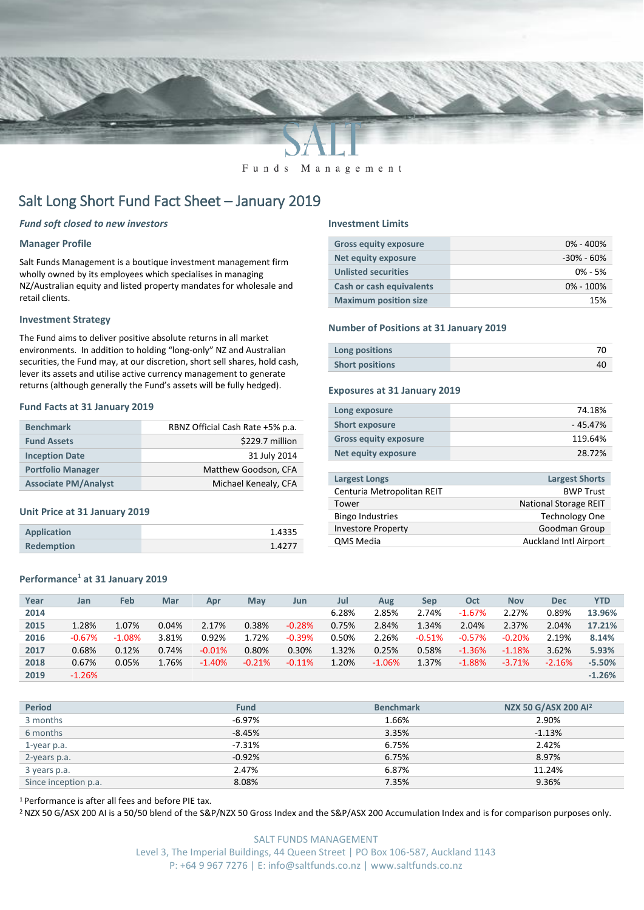

Funds Management

# Salt Long Short Fund Fact Sheet – January 2019

### *Fund soft closed to new investors*

#### **Manager Profile**

Salt Funds Management is a boutique investment management firm wholly owned by its employees which specialises in managing NZ/Australian equity and listed property mandates for wholesale and retail clients.

#### **Investment Strategy**

The Fund aims to deliver positive absolute returns in all market environments. In addition to holding "long-only" NZ and Australian securities, the Fund may, at our discretion, short sell shares, hold cash, lever its assets and utilise active currency management to generate returns (although generally the Fund's assets will be fully hedged).

#### **Fund Facts at 31 January 2019**

| <b>Benchmark</b>            | RBNZ Official Cash Rate +5% p.a. |
|-----------------------------|----------------------------------|
| <b>Fund Assets</b>          | \$229.7 million                  |
| <b>Inception Date</b>       | 31 July 2014                     |
| <b>Portfolio Manager</b>    | Matthew Goodson, CFA             |
| <b>Associate PM/Analyst</b> | Michael Kenealy, CFA             |

#### **Unit Price at 31 January 2019**

| Application       | 1.4335 |
|-------------------|--------|
| <b>Redemption</b> | 1.4277 |

## **Performance<sup>1</sup> at 31 January 2019**

#### **Investment Limits**

| <b>Gross equity exposure</b>    | $0\% - 400\%$  |
|---------------------------------|----------------|
| Net equity exposure             | $-30\% - 60\%$ |
| <b>Unlisted securities</b>      | $0\% - 5\%$    |
| <b>Cash or cash equivalents</b> | $0\% - 100\%$  |
| <b>Maximum position size</b>    | 15%            |

#### **Number of Positions at 31 January 2019**

| Long positions         |  |
|------------------------|--|
| <b>Short positions</b> |  |

#### **Exposures at 31 January 2019**

| Long exposure                | 74.18%   |
|------------------------------|----------|
| <b>Short exposure</b>        | - 45.47% |
| <b>Gross equity exposure</b> | 119.64%  |
| Net equity exposure          | 28.72%   |

| <b>Largest Longs</b>       | <b>Largest Shorts</b>        |
|----------------------------|------------------------------|
| Centuria Metropolitan REIT | <b>BWP Trust</b>             |
| Tower                      | <b>National Storage REIT</b> |
| <b>Bingo Industries</b>    | <b>Technology One</b>        |
| <b>Investore Property</b>  | Goodman Group                |
| QMS Media                  | <b>Auckland Intl Airport</b> |
|                            |                              |

| Year | Jan      | Feb      | Mar   | Apr      | May      | Jun      | Jul   | Aug      | Sep      | Oct      | <b>Nov</b> | <b>Dec</b> | YTD      |
|------|----------|----------|-------|----------|----------|----------|-------|----------|----------|----------|------------|------------|----------|
| 2014 |          |          |       |          |          |          | 6.28% | 2.85%    | 2.74%    | $-1.67%$ | 2.27%      | 0.89%      | 13.96%   |
| 2015 | 1.28%    | 1.07%    | 0.04% | 2.17%    | 0.38%    | $-0.28%$ | 0.75% | 2.84%    | 1.34%    | 2.04%    | 2.37%      | 2.04%      | 17.21%   |
| 2016 | $-0.67%$ | $-1.08%$ | 3.81% | 0.92%    | 1.72%    | $-0.39%$ | 0.50% | 2.26%    | $-0.51%$ | $-0.57%$ | $-0.20%$   | 2.19%      | 8.14%    |
| 2017 | 0.68%    | 0.12%    | 0.74% | $-0.01%$ | 0.80%    | 0.30%    | 1.32% | 0.25%    | 0.58%    | $-1.36%$ | $-1.18%$   | 3.62%      | 5.93%    |
| 2018 | 0.67%    | 0.05%    | 1.76% | $-1.40%$ | $-0.21%$ | $-0.11%$ | 1.20% | $-1.06%$ | 1.37%    | $-1.88%$ | $-3.71%$   | $-2.16%$   | $-5.50%$ |
| 2019 | $-1.26%$ |          |       |          |          |          |       |          |          |          |            |            | $-1.26%$ |
|      |          |          |       |          |          |          |       |          |          |          |            |            |          |

| <b>Period</b>        | <b>Fund</b> | <b>Benchmark</b> | NZX 50 G/ASX 200 AI <sup>2</sup> |
|----------------------|-------------|------------------|----------------------------------|
| 3 months             | $-6.97%$    | 1.66%            | 2.90%                            |
| 6 months             | $-8.45%$    | 3.35%            | $-1.13%$                         |
| 1-year p.a.          | $-7.31%$    | 6.75%            | 2.42%                            |
| 2-years p.a.         | $-0.92%$    | 6.75%            | 8.97%                            |
| 3 years p.a.         | 2.47%       | 6.87%            | 11.24%                           |
| Since inception p.a. | 8.08%       | 7.35%            | 9.36%                            |

<sup>1</sup> Performance is after all fees and before PIE tax.

<sup>2</sup> NZX 50 G/ASX 200 AI is a 50/50 blend of the S&P/NZX 50 Gross Index and the S&P/ASX 200 Accumulation Index and is for comparison purposes only.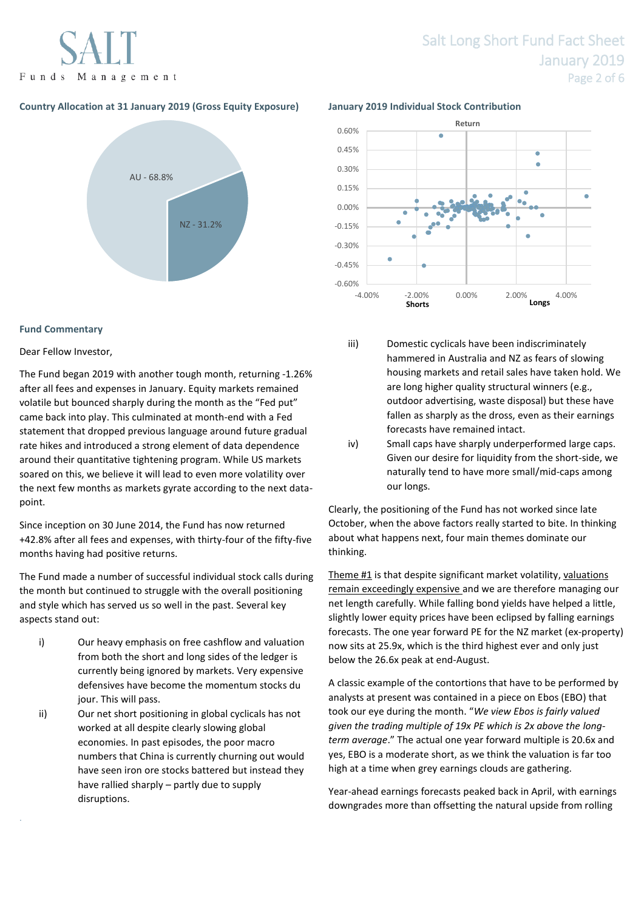Funds Management

# Salt Long Short Fund Fact Sheet January 2019 Page 2 of 6

## **Country Allocation at 31 January 2019 (Gross Equity Exposure) January 2019 Individual Stock Contribution**



### **Fund Commentary**

### Dear Fellow Investor,

.

The Fund began 2019 with another tough month, returning -1.26% after all fees and expenses in January. Equity markets remained volatile but bounced sharply during the month as the "Fed put" came back into play. This culminated at month-end with a Fed statement that dropped previous language around future gradual rate hikes and introduced a strong element of data dependence around their quantitative tightening program. While US markets soared on this, we believe it will lead to even more volatility over the next few months as markets gyrate according to the next datapoint.

Since inception on 30 June 2014, the Fund has now returned +42.8% after all fees and expenses, with thirty-four of the fifty-five months having had positive returns.

The Fund made a number of successful individual stock calls during the month but continued to struggle with the overall positioning and style which has served us so well in the past. Several key aspects stand out:

- i) Our heavy emphasis on free cashflow and valuation from both the short and long sides of the ledger is currently being ignored by markets. Very expensive defensives have become the momentum stocks du jour. This will pass.
- ii) Our net short positioning in global cyclicals has not worked at all despite clearly slowing global economies. In past episodes, the poor macro numbers that China is currently churning out would have seen iron ore stocks battered but instead they have rallied sharply – partly due to supply disruptions.



- iii) Domestic cyclicals have been indiscriminately hammered in Australia and NZ as fears of slowing housing markets and retail sales have taken hold. We are long higher quality structural winners (e.g., outdoor advertising, waste disposal) but these have fallen as sharply as the dross, even as their earnings forecasts have remained intact.
- iv) Small caps have sharply underperformed large caps. Given our desire for liquidity from the short-side, we naturally tend to have more small/mid-caps among our longs.

Clearly, the positioning of the Fund has not worked since late October, when the above factors really started to bite. In thinking about what happens next, four main themes dominate our thinking.

Theme #1 is that despite significant market volatility, valuations remain exceedingly expensive and we are therefore managing our net length carefully. While falling bond yields have helped a little, slightly lower equity prices have been eclipsed by falling earnings forecasts. The one year forward PE for the NZ market (ex-property) now sits at 25.9x, which is the third highest ever and only just below the 26.6x peak at end-August.

A classic example of the contortions that have to be performed by analysts at present was contained in a piece on Ebos (EBO) that took our eye during the month. "*We view Ebos is fairly valued given the trading multiple of 19x PE which is 2x above the longterm average*." The actual one year forward multiple is 20.6x and yes, EBO is a moderate short, as we think the valuation is far too high at a time when grey earnings clouds are gathering.

Year-ahead earnings forecasts peaked back in April, with earnings downgrades more than offsetting the natural upside from rolling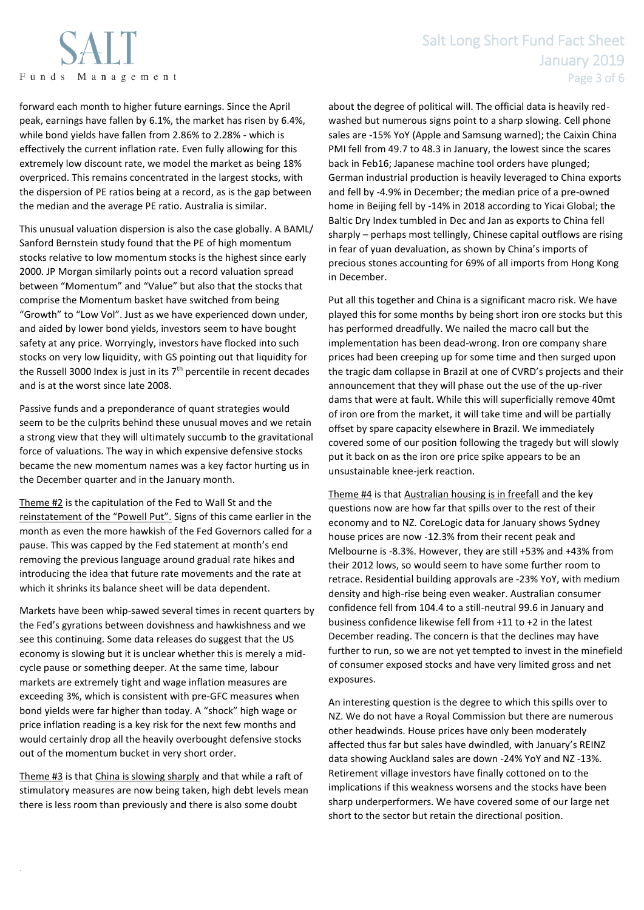

## Salt Long Short Fund Fact Sheet January 2019 Page 3 of 6

forward each month to higher future earnings. Since the April peak, earnings have fallen by 6.1%, the market has risen by 6.4%, while bond yields have fallen from 2.86% to 2.28% - which is effectively the current inflation rate. Even fully allowing for this extremely low discount rate, we model the market as being 18% overpriced. This remains concentrated in the largest stocks, with the dispersion of PE ratios being at a record, as is the gap between the median and the average PE ratio. Australia is similar.

This unusual valuation dispersion is also the case globally. A BAML/ Sanford Bernstein study found that the PE of high momentum stocks relative to low momentum stocks is the highest since early 2000. JP Morgan similarly points out a record valuation spread between "Momentum" and "Value" but also that the stocks that comprise the Momentum basket have switched from being "Growth" to "Low Vol". Just as we have experienced down under, and aided by lower bond yields, investors seem to have bought safety at any price. Worryingly, investors have flocked into such stocks on very low liquidity, with GS pointing out that liquidity for the Russell 3000 Index is just in its  $7<sup>th</sup>$  percentile in recent decades and is at the worst since late 2008.

Passive funds and a preponderance of quant strategies would seem to be the culprits behind these unusual moves and we retain a strong view that they will ultimately succumb to the gravitational force of valuations. The way in which expensive defensive stocks became the new momentum names was a key factor hurting us in the December quarter and in the January month.

Theme #2 is the capitulation of the Fed to Wall St and the reinstatement of the "Powell Put". Signs of this came earlier in the month as even the more hawkish of the Fed Governors called for a pause. This was capped by the Fed statement at month's end removing the previous language around gradual rate hikes and introducing the idea that future rate movements and the rate at which it shrinks its balance sheet will be data dependent.

Markets have been whip-sawed several times in recent quarters by the Fed's gyrations between dovishness and hawkishness and we see this continuing. Some data releases do suggest that the US economy is slowing but it is unclear whether this is merely a midcycle pause or something deeper. At the same time, labour markets are extremely tight and wage inflation measures are exceeding 3%, which is consistent with pre-GFC measures when bond yields were far higher than today. A "shock" high wage or price inflation reading is a key risk for the next few months and would certainly drop all the heavily overbought defensive stocks out of the momentum bucket in very short order.

Theme #3 is that China is slowing sharply and that while a raft of stimulatory measures are now being taken, high debt levels mean there is less room than previously and there is also some doubt

.

about the degree of political will. The official data is heavily redwashed but numerous signs point to a sharp slowing. Cell phone sales are -15% YoY (Apple and Samsung warned); the Caixin China PMI fell from 49.7 to 48.3 in January, the lowest since the scares back in Feb16; Japanese machine tool orders have plunged; German industrial production is heavily leveraged to China exports and fell by -4.9% in December; the median price of a pre-owned home in Beijing fell by -14% in 2018 according to Yicai Global; the Baltic Dry Index tumbled in Dec and Jan as exports to China fell sharply – perhaps most tellingly, Chinese capital outflows are rising in fear of yuan devaluation, as shown by China's imports of precious stones accounting for 69% of all imports from Hong Kong in December.

Put all this together and China is a significant macro risk. We have played this for some months by being short iron ore stocks but this has performed dreadfully. We nailed the macro call but the implementation has been dead-wrong. Iron ore company share prices had been creeping up for some time and then surged upon the tragic dam collapse in Brazil at one of CVRD's projects and their announcement that they will phase out the use of the up-river dams that were at fault. While this will superficially remove 40mt of iron ore from the market, it will take time and will be partially offset by spare capacity elsewhere in Brazil. We immediately covered some of our position following the tragedy but will slowly put it back on as the iron ore price spike appears to be an unsustainable knee-jerk reaction.

Theme #4 is that Australian housing is in freefall and the key questions now are how far that spills over to the rest of their economy and to NZ. CoreLogic data for January shows Sydney house prices are now -12.3% from their recent peak and Melbourne is -8.3%. However, they are still +53% and +43% from their 2012 lows, so would seem to have some further room to retrace. Residential building approvals are -23% YoY, with medium density and high-rise being even weaker. Australian consumer confidence fell from 104.4 to a still-neutral 99.6 in January and business confidence likewise fell from +11 to +2 in the latest December reading. The concern is that the declines may have further to run, so we are not yet tempted to invest in the minefield of consumer exposed stocks and have very limited gross and net exposures.

An interesting question is the degree to which this spills over to NZ. We do not have a Royal Commission but there are numerous other headwinds. House prices have only been moderately affected thus far but sales have dwindled, with January's REINZ data showing Auckland sales are down -24% YoY and NZ -13%. Retirement village investors have finally cottoned on to the implications if this weakness worsens and the stocks have been sharp underperformers. We have covered some of our large net short to the sector but retain the directional position.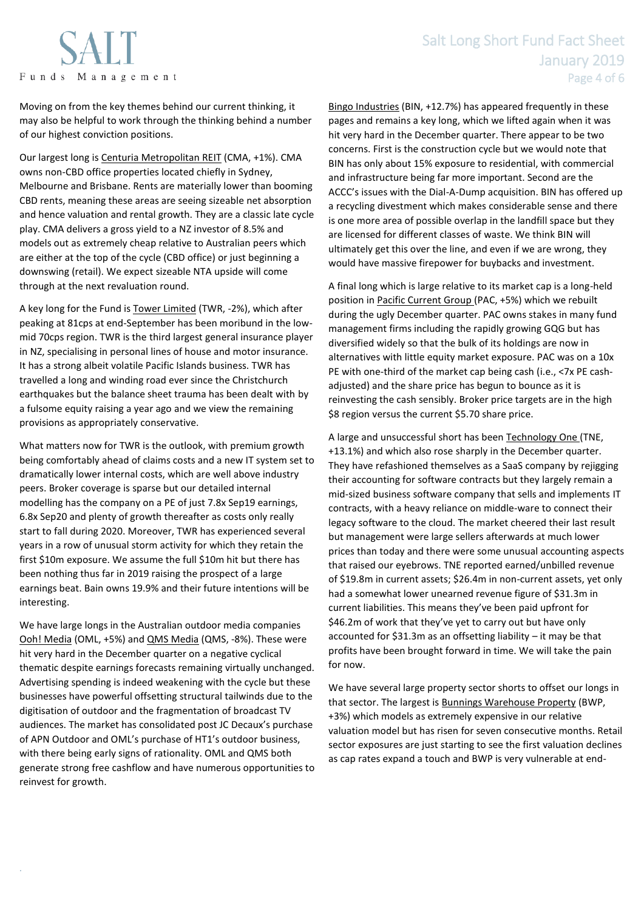

## Salt Long Short Fund Fact Sheet January 2019 Page 4 of 6

Moving on from the key themes behind our current thinking, it may also be helpful to work through the thinking behind a number of our highest conviction positions.

Our largest long is Centuria Metropolitan REIT (CMA, +1%). CMA owns non-CBD office properties located chiefly in Sydney, Melbourne and Brisbane. Rents are materially lower than booming CBD rents, meaning these areas are seeing sizeable net absorption and hence valuation and rental growth. They are a classic late cycle play. CMA delivers a gross yield to a NZ investor of 8.5% and models out as extremely cheap relative to Australian peers which are either at the top of the cycle (CBD office) or just beginning a downswing (retail). We expect sizeable NTA upside will come through at the next revaluation round.

A key long for the Fund is Tower Limited (TWR, -2%), which after peaking at 81cps at end-September has been moribund in the lowmid 70cps region. TWR is the third largest general insurance player in NZ, specialising in personal lines of house and motor insurance. It has a strong albeit volatile Pacific Islands business. TWR has travelled a long and winding road ever since the Christchurch earthquakes but the balance sheet trauma has been dealt with by a fulsome equity raising a year ago and we view the remaining provisions as appropriately conservative.

What matters now for TWR is the outlook, with premium growth being comfortably ahead of claims costs and a new IT system set to dramatically lower internal costs, which are well above industry peers. Broker coverage is sparse but our detailed internal modelling has the company on a PE of just 7.8x Sep19 earnings, 6.8x Sep20 and plenty of growth thereafter as costs only really start to fall during 2020. Moreover, TWR has experienced several years in a row of unusual storm activity for which they retain the first \$10m exposure. We assume the full \$10m hit but there has been nothing thus far in 2019 raising the prospect of a large earnings beat. Bain owns 19.9% and their future intentions will be interesting.

We have large longs in the Australian outdoor media companies Ooh! Media (OML, +5%) and QMS Media (QMS, -8%). These were hit very hard in the December quarter on a negative cyclical thematic despite earnings forecasts remaining virtually unchanged. Advertising spending is indeed weakening with the cycle but these businesses have powerful offsetting structural tailwinds due to the digitisation of outdoor and the fragmentation of broadcast TV audiences. The market has consolidated post JC Decaux's purchase of APN Outdoor and OML's purchase of HT1's outdoor business, with there being early signs of rationality. OML and QMS both generate strong free cashflow and have numerous opportunities to reinvest for growth.

.

Bingo Industries (BIN, +12.7%) has appeared frequently in these pages and remains a key long, which we lifted again when it was hit very hard in the December quarter. There appear to be two concerns. First is the construction cycle but we would note that BIN has only about 15% exposure to residential, with commercial and infrastructure being far more important. Second are the ACCC's issues with the Dial-A-Dump acquisition. BIN has offered up a recycling divestment which makes considerable sense and there is one more area of possible overlap in the landfill space but they are licensed for different classes of waste. We think BIN will ultimately get this over the line, and even if we are wrong, they would have massive firepower for buybacks and investment.

A final long which is large relative to its market cap is a long-held position in Pacific Current Group (PAC, +5%) which we rebuilt during the ugly December quarter. PAC owns stakes in many fund management firms including the rapidly growing GQG but has diversified widely so that the bulk of its holdings are now in alternatives with little equity market exposure. PAC was on a 10x PE with one-third of the market cap being cash (i.e., <7x PE cashadjusted) and the share price has begun to bounce as it is reinvesting the cash sensibly. Broker price targets are in the high \$8 region versus the current \$5.70 share price.

A large and unsuccessful short has been Technology One (TNE, +13.1%) and which also rose sharply in the December quarter. They have refashioned themselves as a SaaS company by rejigging their accounting for software contracts but they largely remain a mid-sized business software company that sells and implements IT contracts, with a heavy reliance on middle-ware to connect their legacy software to the cloud. The market cheered their last result but management were large sellers afterwards at much lower prices than today and there were some unusual accounting aspects that raised our eyebrows. TNE reported earned/unbilled revenue of \$19.8m in current assets; \$26.4m in non-current assets, yet only had a somewhat lower unearned revenue figure of \$31.3m in current liabilities. This means they've been paid upfront for \$46.2m of work that they've yet to carry out but have only accounted for \$31.3m as an offsetting liability – it may be that profits have been brought forward in time. We will take the pain for now.

We have several large property sector shorts to offset our longs in that sector. The largest is **Bunnings Warehouse Property** (BWP, +3%) which models as extremely expensive in our relative valuation model but has risen for seven consecutive months. Retail sector exposures are just starting to see the first valuation declines as cap rates expand a touch and BWP is very vulnerable at end-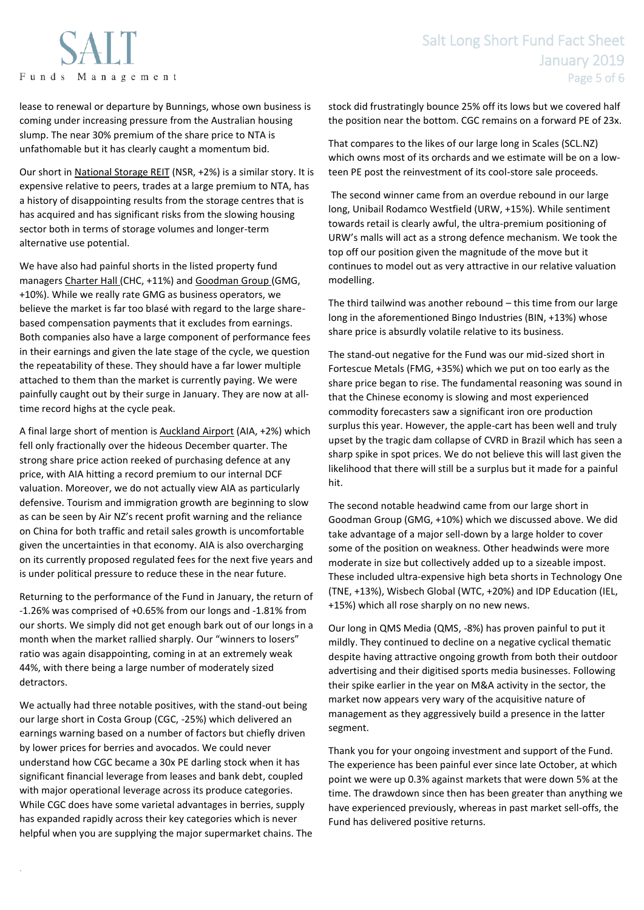

lease to renewal or departure by Bunnings, whose own business is coming under increasing pressure from the Australian housing slump. The near 30% premium of the share price to NTA is unfathomable but it has clearly caught a momentum bid.

Our short in National Storage REIT (NSR, +2%) is a similar story. It is expensive relative to peers, trades at a large premium to NTA, has a history of disappointing results from the storage centres that is has acquired and has significant risks from the slowing housing sector both in terms of storage volumes and longer-term alternative use potential.

We have also had painful shorts in the listed property fund managers Charter Hall (CHC, +11%) and Goodman Group (GMG, +10%). While we really rate GMG as business operators, we believe the market is far too blasé with regard to the large sharebased compensation payments that it excludes from earnings. Both companies also have a large component of performance fees in their earnings and given the late stage of the cycle, we question the repeatability of these. They should have a far lower multiple attached to them than the market is currently paying. We were painfully caught out by their surge in January. They are now at alltime record highs at the cycle peak.

A final large short of mention is Auckland Airport (AIA, +2%) which fell only fractionally over the hideous December quarter. The strong share price action reeked of purchasing defence at any price, with AIA hitting a record premium to our internal DCF valuation. Moreover, we do not actually view AIA as particularly defensive. Tourism and immigration growth are beginning to slow as can be seen by Air NZ's recent profit warning and the reliance on China for both traffic and retail sales growth is uncomfortable given the uncertainties in that economy. AIA is also overcharging on its currently proposed regulated fees for the next five years and is under political pressure to reduce these in the near future.

Returning to the performance of the Fund in January, the return of -1.26% was comprised of +0.65% from our longs and -1.81% from our shorts. We simply did not get enough bark out of our longs in a month when the market rallied sharply. Our "winners to losers" ratio was again disappointing, coming in at an extremely weak 44%, with there being a large number of moderately sized detractors.

We actually had three notable positives, with the stand-out being our large short in Costa Group (CGC, -25%) which delivered an earnings warning based on a number of factors but chiefly driven by lower prices for berries and avocados. We could never understand how CGC became a 30x PE darling stock when it has significant financial leverage from leases and bank debt, coupled with major operational leverage across its produce categories. While CGC does have some varietal advantages in berries, supply has expanded rapidly across their key categories which is never helpful when you are supplying the major supermarket chains. The

.

stock did frustratingly bounce 25% off its lows but we covered half the position near the bottom. CGC remains on a forward PE of 23x.

That compares to the likes of our large long in Scales (SCL.NZ) which owns most of its orchards and we estimate will be on a lowteen PE post the reinvestment of its cool-store sale proceeds.

The second winner came from an overdue rebound in our large long, Unibail Rodamco Westfield (URW, +15%). While sentiment towards retail is clearly awful, the ultra-premium positioning of URW's malls will act as a strong defence mechanism. We took the top off our position given the magnitude of the move but it continues to model out as very attractive in our relative valuation modelling.

The third tailwind was another rebound – this time from our large long in the aforementioned Bingo Industries (BIN, +13%) whose share price is absurdly volatile relative to its business.

The stand-out negative for the Fund was our mid-sized short in Fortescue Metals (FMG, +35%) which we put on too early as the share price began to rise. The fundamental reasoning was sound in that the Chinese economy is slowing and most experienced commodity forecasters saw a significant iron ore production surplus this year. However, the apple-cart has been well and truly upset by the tragic dam collapse of CVRD in Brazil which has seen a sharp spike in spot prices. We do not believe this will last given the likelihood that there will still be a surplus but it made for a painful hit.

The second notable headwind came from our large short in Goodman Group (GMG, +10%) which we discussed above. We did take advantage of a major sell-down by a large holder to cover some of the position on weakness. Other headwinds were more moderate in size but collectively added up to a sizeable impost. These included ultra-expensive high beta shorts in Technology One (TNE, +13%), Wisbech Global (WTC, +20%) and IDP Education (IEL, +15%) which all rose sharply on no new news.

Our long in QMS Media (QMS, -8%) has proven painful to put it mildly. They continued to decline on a negative cyclical thematic despite having attractive ongoing growth from both their outdoor advertising and their digitised sports media businesses. Following their spike earlier in the year on M&A activity in the sector, the market now appears very wary of the acquisitive nature of management as they aggressively build a presence in the latter segment.

Thank you for your ongoing investment and support of the Fund. The experience has been painful ever since late October, at which point we were up 0.3% against markets that were down 5% at the time. The drawdown since then has been greater than anything we have experienced previously, whereas in past market sell-offs, the Fund has delivered positive returns.